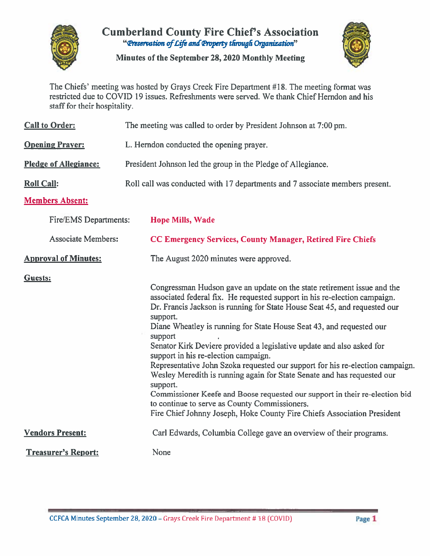

# **Cumberland County Fire Chief's Association** "Preservation of Life and Property through Organization"

Minutes of the September 28, 2020 Monthly Meeting



The Chiefs' meeting was hosted by Grays Creek Fire Department #18. The meeting format was restricted due to COVID 19 issues. Refreshments were served. We thank Chief Herndon and his staff for their hospitality.

| <b>Call to Order:</b>                                              | The meeting was called to order by President Johnson at 7:00 pm.                                                                                                                                                                                                                                                                                                                                                                                                                                                                                                                                                                                                                                                                                                                                                                    |  |  |  |  |  |  |  |
|--------------------------------------------------------------------|-------------------------------------------------------------------------------------------------------------------------------------------------------------------------------------------------------------------------------------------------------------------------------------------------------------------------------------------------------------------------------------------------------------------------------------------------------------------------------------------------------------------------------------------------------------------------------------------------------------------------------------------------------------------------------------------------------------------------------------------------------------------------------------------------------------------------------------|--|--|--|--|--|--|--|
| <b>Opening Prayer:</b><br>L. Herndon conducted the opening prayer. |                                                                                                                                                                                                                                                                                                                                                                                                                                                                                                                                                                                                                                                                                                                                                                                                                                     |  |  |  |  |  |  |  |
| <b>Pledge of Allegiance:</b>                                       | President Johnson led the group in the Pledge of Allegiance.                                                                                                                                                                                                                                                                                                                                                                                                                                                                                                                                                                                                                                                                                                                                                                        |  |  |  |  |  |  |  |
| <b>Roll Call:</b>                                                  | Roll call was conducted with 17 departments and 7 associate members present.                                                                                                                                                                                                                                                                                                                                                                                                                                                                                                                                                                                                                                                                                                                                                        |  |  |  |  |  |  |  |
| <b>Members Absent:</b>                                             |                                                                                                                                                                                                                                                                                                                                                                                                                                                                                                                                                                                                                                                                                                                                                                                                                                     |  |  |  |  |  |  |  |
| Fire/EMS Departments:                                              | <b>Hope Mills, Wade</b>                                                                                                                                                                                                                                                                                                                                                                                                                                                                                                                                                                                                                                                                                                                                                                                                             |  |  |  |  |  |  |  |
| <b>Associate Members:</b>                                          | <b>CC Emergency Services, County Manager, Retired Fire Chiefs</b>                                                                                                                                                                                                                                                                                                                                                                                                                                                                                                                                                                                                                                                                                                                                                                   |  |  |  |  |  |  |  |
| <b>Approval of Minutes:</b>                                        | The August 2020 minutes were approved.                                                                                                                                                                                                                                                                                                                                                                                                                                                                                                                                                                                                                                                                                                                                                                                              |  |  |  |  |  |  |  |
| Guests:                                                            | Congressman Hudson gave an update on the state retirement issue and the<br>associated federal fix. He requested support in his re-election campaign.<br>Dr. Francis Jackson is running for State House Seat 45, and requested our<br>support.<br>Diane Wheatley is running for State House Seat 43, and requested our<br>support<br>Senator Kirk Deviere provided a legislative update and also asked for<br>support in his re-election campaign.<br>Representative John Szoka requested our support for his re-election campaign<br>Wesley Meredith is running again for State Senate and has requested our<br>support.<br>Commissioner Keefe and Boose requested our support in their re-election bid<br>to continue to serve as County Commissioners.<br>Fire Chief Johnny Joseph, Hoke County Fire Chiefs Association President |  |  |  |  |  |  |  |
| <b>Vendors Present:</b>                                            | Carl Edwards, Columbia College gave an overview of their programs.                                                                                                                                                                                                                                                                                                                                                                                                                                                                                                                                                                                                                                                                                                                                                                  |  |  |  |  |  |  |  |
| <b>Treasurer's Report:</b>                                         | None                                                                                                                                                                                                                                                                                                                                                                                                                                                                                                                                                                                                                                                                                                                                                                                                                                |  |  |  |  |  |  |  |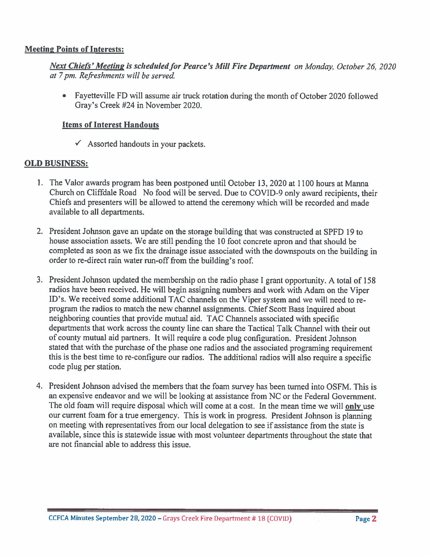#### **Meeting Points of Interests:**

Next Chiefs' Meeting is scheduled for Pearce's Mill Fire Department on Monday, October 26, 2020 at 7 pm. Refreshments will be served.

• Fayetteville FD will assume air truck rotation during the month of October 2020 followed Gray's Creek #24 in November 2020.

#### **Items of Interest Handouts**

 $\checkmark$  Assorted handouts in your packets.

#### **OLD BUSINESS:**

- 1. The Valor awards program has been postponed until October 13, 2020 at 1100 hours at Manna Church on Cliffdale Road No food will be served. Due to COVID-9 only award recipients, their Chiefs and presenters will be allowed to attend the ceremony which will be recorded and made available to all departments.
- 2. President Johnson gave an update on the storage building that was constructed at SPFD 19 to house association assets. We are still pending the 10 foot concrete apron and that should be completed as soon as we fix the drainage issue associated with the downspouts on the building in order to re-direct rain water run-off from the building's roof.
- 3. President Johnson updated the membership on the radio phase I grant opportunity. A total of 158 radios have been received. He will begin assigning numbers and work with Adam on the Viper ID's. We received some additional TAC channels on the Viper system and we will need to reprogram the radios to match the new channel assignments. Chief Scott Bass inquired about neighboring counties that provide mutual aid. TAC Channels associated with specific departments that work across the county line can share the Tactical Talk Channel with their out of county mutual aid partners. It will require a code plug configuration. President Johnson stated that with the purchase of the phase one radios and the associated programing requirement this is the best time to re-configure our radios. The additional radios will also require a specific code plug per station.
- 4. President Johnson advised the members that the foam survey has been turned into OSFM. This is an expensive endeavor and we will be looking at assistance from NC or the Federal Government. The old foam will require disposal which will come at a cost. In the mean time we will only use our current foam for a true emergency. This is work in progress. President Johnson is planning on meeting with representatives from our local delegation to see if assistance from the state is available, since this is statewide issue with most volunteer departments throughout the state that are not financial able to address this issue.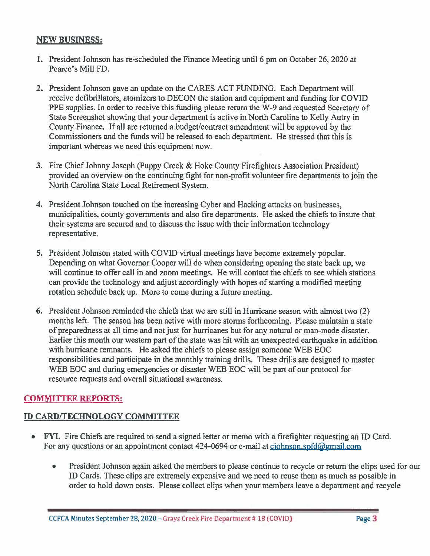#### **NEW BUSINESS:**

- 1. President Johnson has re-scheduled the Finance Meeting until 6 pm on October 26, 2020 at Pearce's Mill FD.
- 2. President Johnson gave an update on the CARES ACT FUNDING. Each Department will receive defibrillators, atomizers to DECON the station and equipment and funding for COVID PPE supplies. In order to receive this funding please return the W-9 and requested Secretary of State Screenshot showing that your department is active in North Carolina to Kelly Autry in County Finance. If all are returned a budget/contract amendment will be approved by the Commissioners and the funds will be released to each department. He stressed that this is important whereas we need this equipment now.
- 3. Fire Chief Johnny Joseph (Puppy Creek & Hoke County Firefighters Association President) provided an overview on the continuing fight for non-profit volunteer fire departments to join the North Carolina State Local Retirement System.
- 4. President Johnson touched on the increasing Cyber and Hacking attacks on businesses, municipalities, county governments and also fire departments. He asked the chiefs to insure that their systems are secured and to discuss the issue with their information technology representative.
- 5. President Johnson stated with COVID virtual meetings have become extremely popular. Depending on what Governor Cooper will do when considering opening the state back up, we will continue to offer call in and zoom meetings. He will contact the chiefs to see which stations can provide the technology and adjust accordingly with hopes of starting a modified meeting rotation schedule back up. More to come during a future meeting.
- 6. President Johnson reminded the chiefs that we are still in Hurricane season with almost two (2) months left. The season has been active with more storms forthcoming. Please maintain a state of preparedness at all time and not just for hurricanes but for any natural or man-made disaster. Earlier this month our western part of the state was hit with an unexpected earthquake in addition with hurricane remnants. He asked the chiefs to please assign someone WEB EOC responsibilities and participate in the monthly training drills. These drills are designed to master WEB EOC and during emergencies or disaster WEB EOC will be part of our protocol for resource requests and overall situational awareness.

# **COMMITTEE REPORTS:**

### **ID CARD/TECHNOLOGY COMMITTEE**

- FYI. Fire Chiefs are required to send a signed letter or memo with a firefighter requesting an ID Card.  $\bullet$ For any questions or an appointment contact 424-0694 or e-mail at cjohnson.spfd@gmail.com
	- President Johnson again asked the members to please continue to recycle or return the clips used for our  $\bullet$ ID Cards. These clips are extremely expensive and we need to reuse them as much as possible in order to hold down costs. Please collect clips when your members leave a department and recycle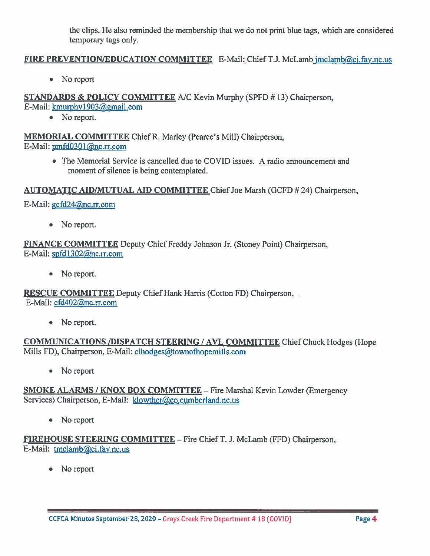the clips. He also reminded the membership that we do not print blue tags, which are considered temporary tags only.

### FIRE PREVENTION/EDUCATION COMMITTEE E-Mail: Chief T.J. McLamb jmclamb@ci.fay.nc.us

No report  $\bullet$ 

**STANDARDS & POLICY COMMITTEE A/C Kevin Murphy (SPFD #13) Chairperson.** E-Mail: kmurphy1903@gmail.com

• No report.

**MEMORIAL COMMITTEE Chief R. Marley (Pearce's Mill) Chairperson,** E-Mail: pmfd0301@nc.rr.com

> • The Memorial Service is cancelled due to COVID issues. A radio announcement and moment of silence is being contemplated.

AUTOMATIC AID/MUTUAL AID COMMITTEE Chief Joe Marsh (GCFD # 24) Chairperson.

E-Mail: gcfd24@nc.rr.com

No report.  $\bullet$ 

**FINANCE COMMITTEE** Deputy Chief Freddy Johnson Jr. (Stoney Point) Chairperson, E-Mail: spfd1302@nc.rr.com

No report.  $\bullet$ 

**RESCUE COMMITTEE** Deputy Chief Hank Harris (Cotton FD) Chairperson, E-Mail: cfd402@nc.rr.com

• No report.

**COMMUNICATIONS /DISPATCH STEERING / AVL COMMITTEE Chief Chuck Hodges (Hope** Mills FD), Chairperson, E-Mail: clhodges@townofhopemills.com

 $\bullet$ No report

SMOKE ALARMS / KNOX BOX COMMITTEE - Fire Marshal Kevin Lowder (Emergency Services) Chairperson, E-Mail: klowther@co.cumberland.nc.us

No report  $\bullet$ 

**FIREHOUSE STEERING COMMITTEE** - Fire Chief T. J. McLamb (FFD) Chairperson, E-Mail: tmclamb@ci.fay.nc.us

No report  $\bullet$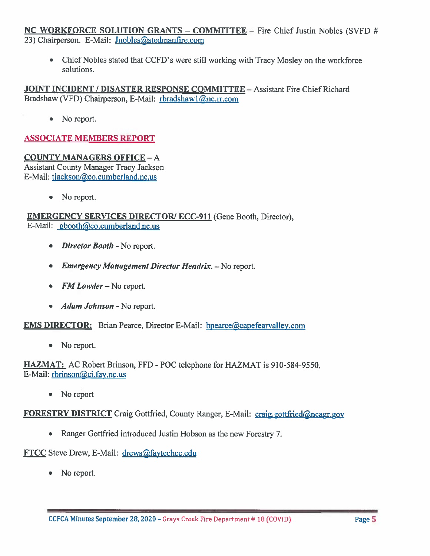### **NC WORKFORCE SOLUTION GRANTS - COMMITTEE** - Fire Chief Justin Nobles (SVFD # 23) Chairperson. E-Mail: Jnobles@stedmanfire.com

Chief Nobles stated that CCFD's were still working with Tracy Mosley on the workforce  $\bullet$ solutions.

**JOINT INCIDENT / DISASTER RESPONSE COMMITTEE - Assistant Fire Chief Richard** Bradshaw (VFD) Chairperson, E-Mail: rbradshawl@nc.rr.com

• No report.

## **ASSOCIATE MEMBERS REPORT**

#### **COUNTY MANAGERS OFFICE - A Assistant County Manager Tracy Jackson** E-Mail: tjackson@co.cumberland.nc.us

- - No report.  $\bullet$

### **EMERGENCY SERVICES DIRECTOR/ ECC-911 (Gene Booth, Director),** E-Mail: gbooth@co.cumberland.nc.us

- Director Booth No report.  $\bullet$
- Emergency Management Director Hendrix. No report.
- $FMLower No report.$  $\bullet$
- *Adam Johnson* No report.  $\bullet$

**EMS DIRECTOR:** Brian Pearce, Director E-Mail: bpearce@capefearvalley.com

No report.  $\qquad \qquad \bullet$ 

**HAZMAT:** AC Robert Brinson, FFD - POC telephone for HAZMAT is 910-584-9550. E-Mail: rbrinson@ci.fay.nc.us

۰ No report

**FORESTRY DISTRICT** Craig Gottfried, County Ranger, E-Mail: craig.gottfried@ncagr.gov

• Ranger Gottfried introduced Justin Hobson as the new Forestry 7.

FTCC Steve Drew, E-Mail: drews@faytechcc.edu

No report.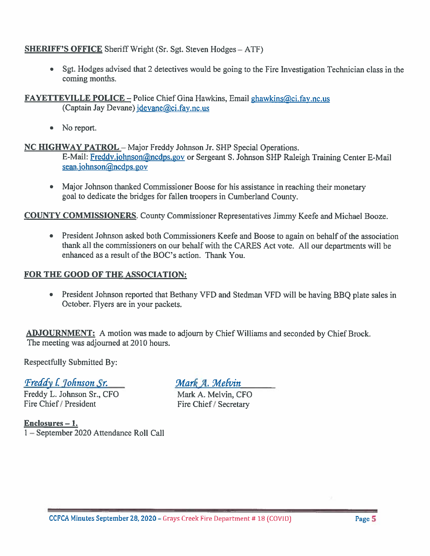### **SHERIFF'S OFFICE** Sheriff Wright (Sr. Sgt. Steven Hodges = ATF)

Sgt. Hodges advised that 2 detectives would be going to the Fire Investigation Technician class in the coming months.

**FAYETTEVILLE POLICE – Police Chief Gina Hawkins, Email ghawkins@ci.fay.nc.us** (Captain Jay Devane) jdevane@ci.fay.nc.us

No report.  $\bullet$ 

NC HIGHWAY PATROL - Major Freddy Johnson Jr. SHP Special Operations.

E-Mail: Freddy.johnson@ncdps.gov or Sergeant S. Johnson SHP Raleigh Training Center E-Mail sean.johnson@ncdps.gov

• Major Johnson thanked Commissioner Boose for his assistance in reaching their monetary goal to dedicate the bridges for fallen troopers in Cumberland County.

**COUNTY COMMISSIONERS.** County Commissioner Representatives Jimmy Keefe and Michael Booze.

• President Johnson asked both Commissioners Keefe and Boose to again on behalf of the association thank all the commissioners on our behalf with the CARES Act vote. All our departments will be enhanced as a result of the BOC's action. Thank You.

### FOR THE GOOD OF THE ASSOCIATION:

• President Johnson reported that Bethany VFD and Stedman VFD will be having BBO plate sales in October. Flyers are in your packets.

**ADJOURNMENT:** A motion was made to adjourn by Chief Williams and seconded by Chief Brock. The meeting was adjourned at 2010 hours.

**Respectfully Submitted By:** 

Freddy l. Johnson Sr.

Freddy L. Johnson Sr., CFO Fire Chief / President

 $Enclosures - 1.$ 1-September 2020 Attendance Roll Call Mark A. Melvin

Mark A. Melvin, CFO Fire Chief / Secretary